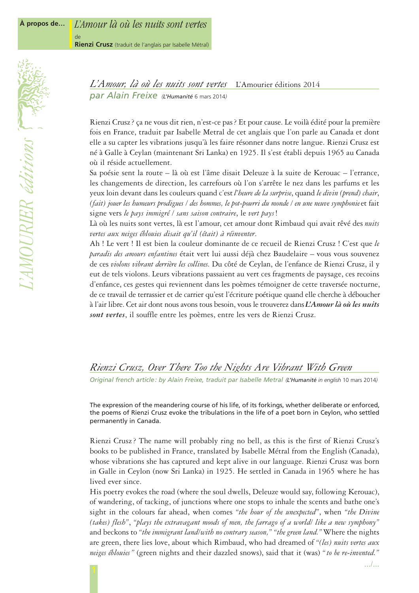Rienzi Crusz? ça ne vous dit rien, n'est-ce pas? Et pour cause. Le voilà édité pour la première fois en France, traduit par Isabelle Metral de cet anglais que l'on parle au Canada et dont elle a su capter les vibrations jusqu'à les faire résonner dans notre langue. Rienzi Crusz est né à Galle à Ceylan (maintenant Sri Lanka) en 1925. Il s'est établi depuis 1965 au Canada où il réside actuellement.

Sa poésie sent la route – là où est l'âme disait Deleuze à la suite de Kerouac – l'errance, les changements de direction, les carrefours où l'on s'arrête le nez dans les parfums et les yeux loin devant dans les couleurs quand c'est *l'heure de la surprise*, quand *le divin (prend) chair*, *(fait) jouer les humeurs prodigues / des hommes, le pot-pourri du monde / en une neuve symphonie*et fait signe vers *le pays immigré / sans saison contraire*, le *vert pays*!

Là où les nuits sont vertes, là est l'amour, cet amour dont Rimbaud qui avait rêvé des *nuits vertes aux neiges éblouies disait qu'il (était) à réinventer*.

Ah ! Le vert ! Il est bien la couleur dominante de ce recueil de Rienzi Crusz ! C'est que *le paradis des amours enfantines* était vert lui aussi déjà chez Baudelaire – vous vous souvenez de ces *violons vibrant derrière les collines*. Du côté de Ceylan, de l'enfance de Rienzi Crusz, il y eut de tels violons. Leurs vibrations passaient au vert ces fragments de paysage, ces recoins d'enfance, ces gestes qui reviennent dans les poèmes témoigner de cette traversée nocturne, de ce travail de terrassier et de carrier qu'est l'écriture poétique quand elle cherche à déboucher à l'air libre. Cet air dont nous avons tous besoin, vous le trouverez dans *L'Amour là où les nuits sont vertes*, il souffle entre les poèmes, entre les vers de Rienzi Crusz.

## *Rienzi Crusz, Over There Too the Nights Are Vibrant With Green*

*Original french article: by Alain Freixe, traduit par Isabelle Metral (L'Humanité in english* 10 mars 2014*)*

The expression of the meandering course of his life, of its forkings, whether deliberate or enforced, the poems of Rienzi Crusz evoke the tribulations in the life of a poet born in Ceylon, who settled permanently in Canada.

Rienzi Crusz ? The name will probably ring no bell, as this is the first of Rienzi Crusz's books to be published in France, translated by Isabelle Métral from the English (Canada), whose vibrations she has captured and kept alive in our language. Rienzi Crusz was born in Galle in Ceylon (now Sri Lanka) in 1925. He settled in Canada in 1965 where he has lived ever since.

His poetry evokes the road (where the soul dwells, Deleuze would say, following Kerouac), of wandering, of tacking, of junctions where one stops to inhale the scents and bathe one's sight in the colours far ahead, when comes *"the hour of the unexpected"*, when *"the Divine (takes) flesh"*, *"plays the extravagant moods of men, the farrago of a world/ like a new symphony"* and beckons to *"the immigrant land/with no contrary season," "the green land."*Where the nights are green, there lies love, about which Rimbaud, who had dreamed of *"(les) nuits vertes aux neiges éblouies "* (green nights and their dazzled snows), said that it (was) *" to be re-invented."*